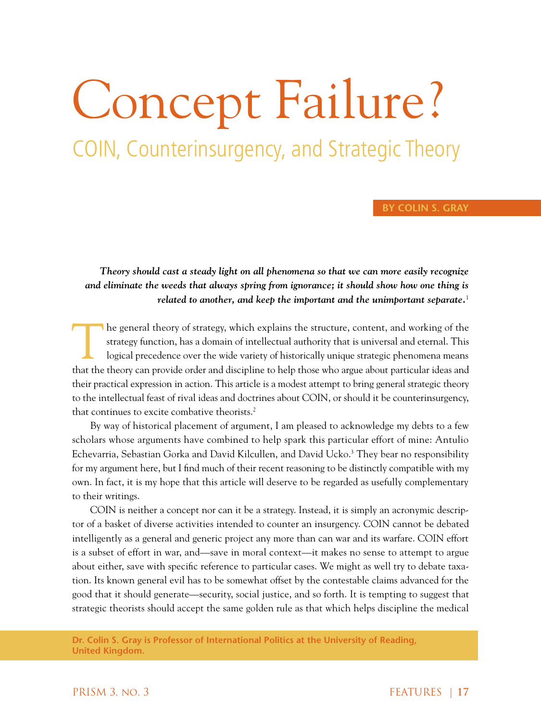# Concept Failure? COIN, Counterinsurgency, and Strategic Theory

# **By Colin S. Gray**

*Theory should cast a steady light on all phenomena so that we can more easily recognize and eliminate the weeds that always spring from ignorance; it should show how one thing is related to another, and keep the important and the unimportant separate.*<sup>1</sup>

The general theory of strategy, which explains the structure, content, and working of the strategy function, has a domain of intellectual authority that is universal and eternal. This logical precedence over the wide varie strategy function, has a domain of intellectual authority that is universal and eternal. This logical precedence over the wide variety of historically unique strategic phenomena means that the theory can provide order and discipline to help those who argue about particular ideas and their practical expression in action. This article is a modest attempt to bring general strategic theory to the intellectual feast of rival ideas and doctrines about COIN, or should it be counterinsurgency, that continues to excite combative theorists.<sup>2</sup>

By way of historical placement of argument, I am pleased to acknowledge my debts to a few scholars whose arguments have combined to help spark this particular effort of mine: Antulio Echevarria, Sebastian Gorka and David Kilcullen, and David Ucko.<sup>3</sup> They bear no responsibility for my argument here, but I find much of their recent reasoning to be distinctly compatible with my own. In fact, it is my hope that this article will deserve to be regarded as usefully complementary to their writings.

COIN is neither a concept nor can it be a strategy. Instead, it is simply an acronymic descriptor of a basket of diverse activities intended to counter an insurgency. COIN cannot be debated intelligently as a general and generic project any more than can war and its warfare. COIN effort is a subset of effort in war, and—save in moral context—it makes no sense to attempt to argue about either, save with specific reference to particular cases. We might as well try to debate taxation. Its known general evil has to be somewhat offset by the contestable claims advanced for the good that it should generate—security, social justice, and so forth. It is tempting to suggest that strategic theorists should accept the same golden rule as that which helps discipline the medical

**Dr. Colin S. Gray is Professor of International Politics at the University of Reading, United Kingdom.**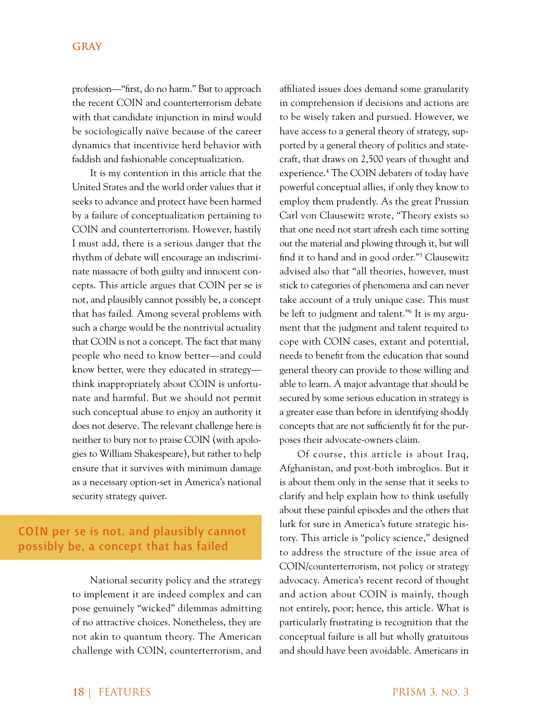profession—"first, do no harm." But to approach the recent COIN and counterterrorism debate with that candidate injunction in mind would be sociologically naïve because of the career dynamics that incentivize herd behavior with faddish and fashionable conceptualization.

It is my contention in this article that the United States and the world order values that it seeks to advance and protect have been harmed by a failure of conceptualization pertaining to COIN and counterterrorism. However, hastily I must add, there is a serious danger that the rhythm of debate will encourage an indiscriminate massacre of both guilty and innocent concepts. This article argues that COIN per se is not, and plausibly cannot possibly be, a concept that has failed. Among several problems with such a charge would be the nontrivial actuality that COIN is not a concept. The fact that many people who need to know better—and could know better, were they educated in strategy think inappropriately about COIN is unfortunate and harmful. But we should not permit such conceptual abuse to enjoy an authority it does not deserve. The relevant challenge here is neither to bury nor to praise COIN (with apologies to William Shakespeare), but rather to help ensure that it survives with minimum damage as a necessary option-set in America's national security strategy quiver.

# COIN per se is not, and plausibly cannot possibly be, a concept that has failed

National security policy and the strategy to implement it are indeed complex and can pose genuinely "wicked" dilemmas admitting of no attractive choices. Nonetheless, they are not akin to quantum theory. The American challenge with COIN, counterterrorism, and

affiliated issues does demand some granularity in comprehension if decisions and actions are to be wisely taken and pursued. However, we have access to a general theory of strategy, supported by a general theory of politics and statecraft, that draws on 2,500 years of thought and experience.4 The COIN debaters of today have powerful conceptual allies, if only they know to employ them prudently. As the great Prussian Carl von Clausewitz wrote, "Theory exists so that one need not start afresh each time sorting out the material and plowing through it, but will find it to hand and in good order."5 Clausewitz advised also that "all theories, however, must stick to categories of phenomena and can never take account of a truly unique case. This must be left to judgment and talent."6 It is my argument that the judgment and talent required to cope with COIN cases, extant and potential, needs to benefit from the education that sound general theory can provide to those willing and able to learn. A major advantage that should be secured by some serious education in strategy is a greater ease than before in identifying shoddy concepts that are not sufficiently fit for the purposes their advocate-owners claim.

Of course, this article is about Iraq, Afghanistan, and post-both imbroglios. But it is about them only in the sense that it seeks to clarify and help explain how to think usefully about these painful episodes and the others that lurk for sure in America's future strategic history. This article is "policy science," designed to address the structure of the issue area of COIN/counterterrorism, not policy or strategy advocacy. America's recent record of thought and action about COIN is mainly, though not entirely, poor; hence, this article. What is particularly frustrating is recognition that the conceptual failure is all but wholly gratuitous and should have been avoidable. Americans in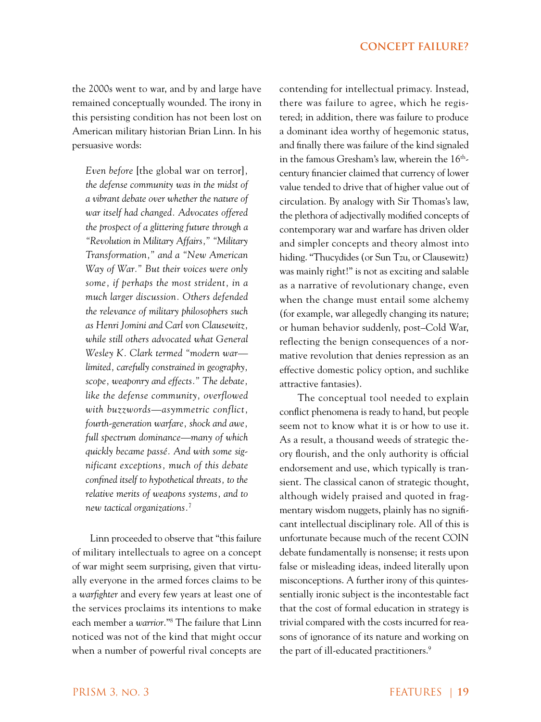the 2000s went to war, and by and large have remained conceptually wounded. The irony in this persisting condition has not been lost on American military historian Brian Linn. In his persuasive words:

*Even before* [the global war on terror]*, the defense community was in the midst of a vibrant debate over whether the nature of war itself had changed. Advocates offered the prospect of a glittering future through a "Revolution in Military Affairs," "Military Transformation," and a "New American Way of War." But their voices were only some, if perhaps the most strident, in a much larger discussion. Others defended the relevance of military philosophers such as Henri Jomini and Carl von Clausewitz, while still others advocated what General Wesley K. Clark termed "modern war limited, carefully constrained in geography, scope, weaponry and effects." The debate, like the defense community, overflowed with buzzwords—asymmetric conflict, fourth-generation warfare, shock and awe, full spectrum dominance—many of which quickly became passé. And with some significant exceptions, much of this debate confined itself to hypothetical threats, to the relative merits of weapons systems, and to new tactical organizations.*<sup>7</sup>

Linn proceeded to observe that "this failure of military intellectuals to agree on a concept of war might seem surprising, given that virtually everyone in the armed forces claims to be a *warfighter* and every few years at least one of the services proclaims its intentions to make each member a *warrior*."8 The failure that Linn noticed was not of the kind that might occur when a number of powerful rival concepts are

contending for intellectual primacy. Instead, there was failure to agree, which he registered; in addition, there was failure to produce a dominant idea worthy of hegemonic status, and finally there was failure of the kind signaled in the famous Gresham's law, wherein the 16<sup>th</sup>century financier claimed that currency of lower value tended to drive that of higher value out of circulation. By analogy with Sir Thomas's law, the plethora of adjectivally modified concepts of contemporary war and warfare has driven older and simpler concepts and theory almost into hiding. "Thucydides (or Sun Tzu, or Clausewitz) was mainly right!" is not as exciting and salable as a narrative of revolutionary change, even when the change must entail some alchemy (for example, war allegedly changing its nature; or human behavior suddenly, post–Cold War, reflecting the benign consequences of a normative revolution that denies repression as an effective domestic policy option, and suchlike attractive fantasies).

The conceptual tool needed to explain conflict phenomena is ready to hand, but people seem not to know what it is or how to use it. As a result, a thousand weeds of strategic theory flourish, and the only authority is official endorsement and use, which typically is transient. The classical canon of strategic thought, although widely praised and quoted in fragmentary wisdom nuggets, plainly has no significant intellectual disciplinary role. All of this is unfortunate because much of the recent COIN debate fundamentally is nonsense; it rests upon false or misleading ideas, indeed literally upon misconceptions. A further irony of this quintessentially ironic subject is the incontestable fact that the cost of formal education in strategy is trivial compared with the costs incurred for reasons of ignorance of its nature and working on the part of ill-educated practitioners.<sup>9</sup>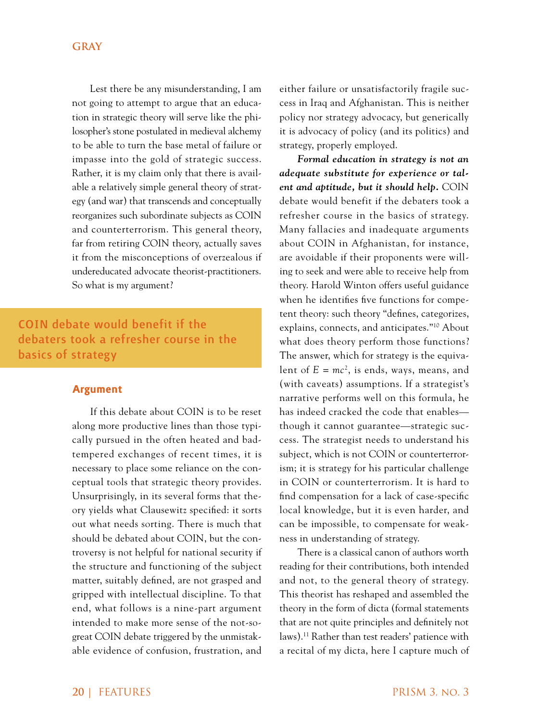Lest there be any misunderstanding, I am not going to attempt to argue that an education in strategic theory will serve like the philosopher's stone postulated in medieval alchemy to be able to turn the base metal of failure or impasse into the gold of strategic success. Rather, it is my claim only that there is available a relatively simple general theory of strategy (and war) that transcends and conceptually reorganizes such subordinate subjects as COIN and counterterrorism. This general theory, far from retiring COIN theory, actually saves it from the misconceptions of overzealous if undereducated advocate theorist-practitioners. So what is my argument?

# COIN debate would benefit if the debaters took a refresher course in the basics of strategy

#### **Argument**

If this debate about COIN is to be reset along more productive lines than those typically pursued in the often heated and badtempered exchanges of recent times, it is necessary to place some reliance on the conceptual tools that strategic theory provides. Unsurprisingly, in its several forms that theory yields what Clausewitz specified: it sorts out what needs sorting. There is much that should be debated about COIN, but the controversy is not helpful for national security if the structure and functioning of the subject matter, suitably defined, are not grasped and gripped with intellectual discipline. To that end, what follows is a nine-part argument intended to make more sense of the not-sogreat COIN debate triggered by the unmistakable evidence of confusion, frustration, and

either failure or unsatisfactorily fragile success in Iraq and Afghanistan. This is neither policy nor strategy advocacy, but generically it is advocacy of policy (and its politics) and strategy, properly employed.

*Formal education in strategy is not an adequate substitute for experience or talent and aptitude, but it should help.* COIN debate would benefit if the debaters took a refresher course in the basics of strategy. Many fallacies and inadequate arguments about COIN in Afghanistan, for instance, are avoidable if their proponents were willing to seek and were able to receive help from theory. Harold Winton offers useful guidance when he identifies five functions for competent theory: such theory "defines, categorizes, explains, connects, and anticipates."10 About what does theory perform those functions? The answer, which for strategy is the equivalent of  $E = mc^2$ , is ends, ways, means, and (with caveats) assumptions. If a strategist's narrative performs well on this formula, he has indeed cracked the code that enables though it cannot guarantee—strategic success. The strategist needs to understand his subject, which is not COIN or counterterrorism; it is strategy for his particular challenge in COIN or counterterrorism. It is hard to find compensation for a lack of case-specific local knowledge, but it is even harder, and can be impossible, to compensate for weakness in understanding of strategy.

There is a classical canon of authors worth reading for their contributions, both intended and not, to the general theory of strategy. This theorist has reshaped and assembled the theory in the form of dicta (formal statements that are not quite principles and definitely not laws).11 Rather than test readers' patience with a recital of my dicta, here I capture much of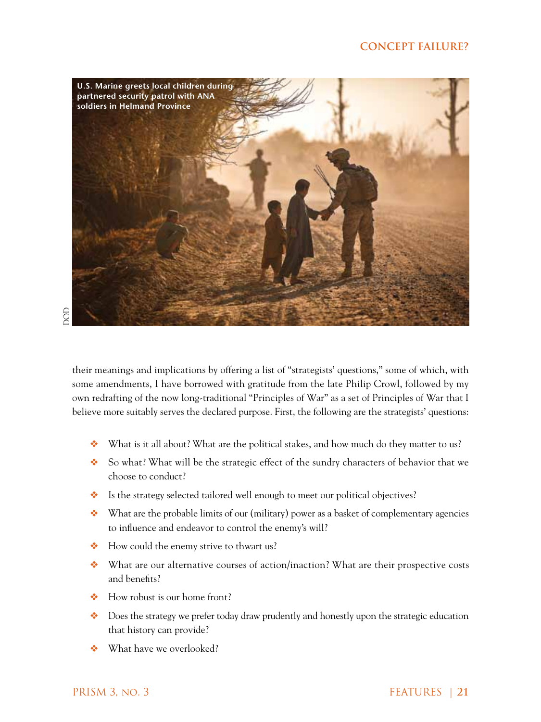# **concept failure?**



their meanings and implications by offering a list of "strategists' questions," some of which, with some amendments, I have borrowed with gratitude from the late Philip Crowl, followed by my own redrafting of the now long-traditional "Principles of War" as a set of Principles of War that I believe more suitably serves the declared purpose. First, the following are the strategists' questions:

- ❖❖ What is it all about? What are the political stakes, and how much do they matter to us?
- ❖❖ So what? What will be the strategic effect of the sundry characters of behavior that we choose to conduct?
- ❖ Is the strategy selected tailored well enough to meet our political objectives?
- ❖❖ What are the probable limits of our (military) power as a basket of complementary agencies to influence and endeavor to control the enemy's will?
- ❖❖ How could the enemy strive to thwart us?
- ❖❖ What are our alternative courses of action/inaction? What are their prospective costs and benefits?
- ❖ How robust is our home front?
- ❖❖ Does the strategy we prefer today draw prudently and honestly upon the strategic education that history can provide?
- ❖❖ What have we overlooked?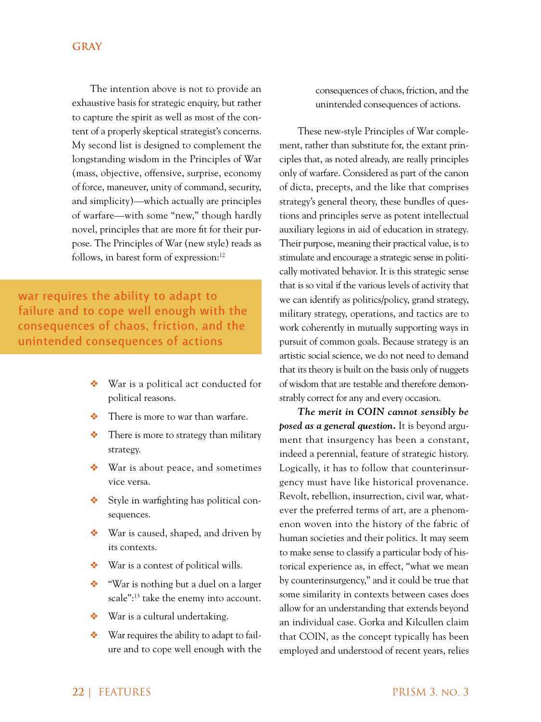The intention above is not to provide an exhaustive basis for strategic enquiry, but rather to capture the spirit as well as most of the content of a properly skeptical strategist's concerns. My second list is designed to complement the longstanding wisdom in the Principles of War (mass, objective, offensive, surprise, economy of force, maneuver, unity of command, security, and simplicity)—which actually are principles of warfare—with some "new," though hardly novel, principles that are more fit for their purpose. The Principles of War (new style) reads as follows, in barest form of expression:<sup>12</sup>

war requires the ability to adapt to failure and to cope well enough with the consequences of chaos, friction, and the unintended consequences of actions

- ❖❖ War is a political act conducted for political reasons.
- There is more to war than warfare.
- ❖❖ There is more to strategy than military strategy.
- ❖❖ War is about peace, and sometimes vice versa.
- ❖❖ Style in warfighting has political consequences.
- ❖ War is caused, shaped, and driven by its contexts.
- War is a contest of political wills.
- ❖❖ "War is nothing but a duel on a larger scale":13 take the enemy into account.
- ❖❖ War is a cultural undertaking.
- ❖❖ War requires the ability to adapt to failure and to cope well enough with the

consequences of chaos, friction, and the unintended consequences of actions.

These new-style Principles of War complement, rather than substitute for, the extant principles that, as noted already, are really principles only of warfare. Considered as part of the canon of dicta, precepts, and the like that comprises strategy's general theory, these bundles of questions and principles serve as potent intellectual auxiliary legions in aid of education in strategy. Their purpose, meaning their practical value, is to stimulate and encourage a strategic sense in politically motivated behavior. It is this strategic sense that is so vital if the various levels of activity that we can identify as politics/policy, grand strategy, military strategy, operations, and tactics are to work coherently in mutually supporting ways in pursuit of common goals. Because strategy is an artistic social science, we do not need to demand that its theory is built on the basis only of nuggets of wisdom that are testable and therefore demonstrably correct for any and every occasion.

*The merit in COIN cannot sensibly be posed as a general question.* It is beyond argument that insurgency has been a constant, indeed a perennial, feature of strategic history. Logically, it has to follow that counterinsurgency must have like historical provenance. Revolt, rebellion, insurrection, civil war, whatever the preferred terms of art, are a phenomenon woven into the history of the fabric of human societies and their politics. It may seem to make sense to classify a particular body of historical experience as, in effect, "what we mean by counterinsurgency," and it could be true that some similarity in contexts between cases does allow for an understanding that extends beyond an individual case. Gorka and Kilcullen claim that COIN, as the concept typically has been employed and understood of recent years, relies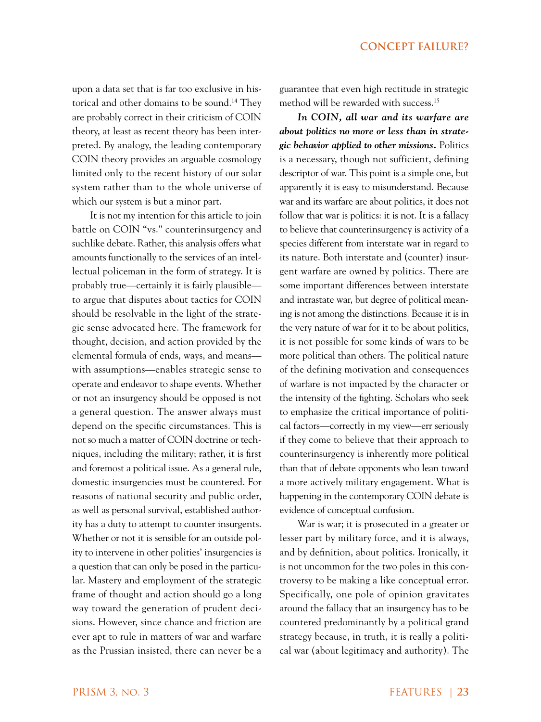upon a data set that is far too exclusive in historical and other domains to be sound.<sup>14</sup> They are probably correct in their criticism of COIN theory, at least as recent theory has been interpreted. By analogy, the leading contemporary COIN theory provides an arguable cosmology limited only to the recent history of our solar system rather than to the whole universe of which our system is but a minor part.

It is not my intention for this article to join battle on COIN "vs." counterinsurgency and suchlike debate. Rather, this analysis offers what amounts functionally to the services of an intellectual policeman in the form of strategy. It is probably true—certainly it is fairly plausible to argue that disputes about tactics for COIN should be resolvable in the light of the strategic sense advocated here. The framework for thought, decision, and action provided by the elemental formula of ends, ways, and means with assumptions—enables strategic sense to operate and endeavor to shape events. Whether or not an insurgency should be opposed is not a general question. The answer always must depend on the specific circumstances. This is not so much a matter of COIN doctrine or techniques, including the military; rather, it is first and foremost a political issue. As a general rule, domestic insurgencies must be countered. For reasons of national security and public order, as well as personal survival, established authority has a duty to attempt to counter insurgents. Whether or not it is sensible for an outside polity to intervene in other polities' insurgencies is a question that can only be posed in the particular. Mastery and employment of the strategic frame of thought and action should go a long way toward the generation of prudent decisions. However, since chance and friction are ever apt to rule in matters of war and warfare as the Prussian insisted, there can never be a

guarantee that even high rectitude in strategic method will be rewarded with success.15

*In COIN, all war and its warfare are about politics no more or less than in strategic behavior applied to other missions.* Politics is a necessary, though not sufficient, defining descriptor of war. This point is a simple one, but apparently it is easy to misunderstand. Because war and its warfare are about politics, it does not follow that war is politics: it is not. It is a fallacy to believe that counterinsurgency is activity of a species different from interstate war in regard to its nature. Both interstate and (counter) insurgent warfare are owned by politics. There are some important differences between interstate and intrastate war, but degree of political meaning is not among the distinctions. Because it is in the very nature of war for it to be about politics, it is not possible for some kinds of wars to be more political than others. The political nature of the defining motivation and consequences of warfare is not impacted by the character or the intensity of the fighting. Scholars who seek to emphasize the critical importance of political factors—correctly in my view—err seriously if they come to believe that their approach to counterinsurgency is inherently more political than that of debate opponents who lean toward a more actively military engagement. What is happening in the contemporary COIN debate is evidence of conceptual confusion.

War is war; it is prosecuted in a greater or lesser part by military force, and it is always, and by definition, about politics. Ironically, it is not uncommon for the two poles in this controversy to be making a like conceptual error. Specifically, one pole of opinion gravitates around the fallacy that an insurgency has to be countered predominantly by a political grand strategy because, in truth, it is really a political war (about legitimacy and authority). The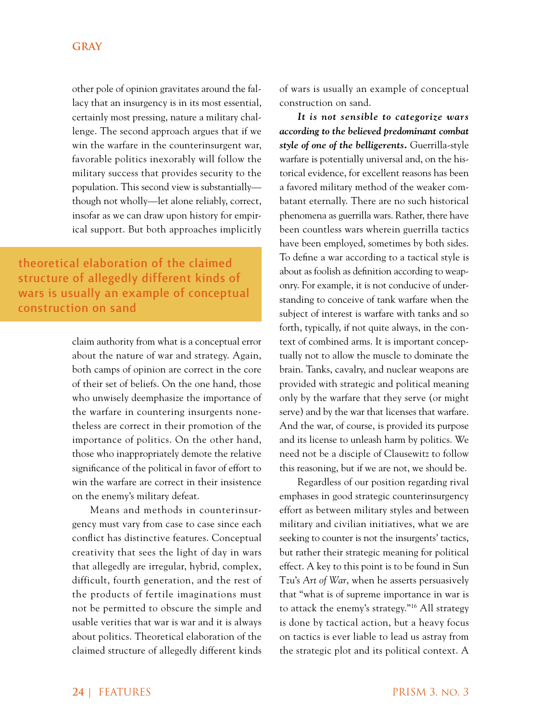other pole of opinion gravitates around the fallacy that an insurgency is in its most essential, certainly most pressing, nature a military challenge. The second approach argues that if we win the warfare in the counterinsurgent war, favorable politics inexorably will follow the military success that provides security to the population. This second view is substantially though not wholly—let alone reliably, correct, insofar as we can draw upon history for empirical support. But both approaches implicitly

theoretical elaboration of the claimed structure of allegedly different kinds of wars is usually an example of conceptual construction on sand

> claim authority from what is a conceptual error about the nature of war and strategy. Again, both camps of opinion are correct in the core of their set of beliefs. On the one hand, those who unwisely deemphasize the importance of the warfare in countering insurgents nonetheless are correct in their promotion of the importance of politics. On the other hand, those who inappropriately demote the relative significance of the political in favor of effort to win the warfare are correct in their insistence on the enemy's military defeat.

> Means and methods in counterinsurgency must vary from case to case since each conflict has distinctive features. Conceptual creativity that sees the light of day in wars that allegedly are irregular, hybrid, complex, difficult, fourth generation, and the rest of the products of fertile imaginations must not be permitted to obscure the simple and usable verities that war is war and it is always about politics. Theoretical elaboration of the claimed structure of allegedly different kinds

of wars is usually an example of conceptual construction on sand.

*It is not sensible to categorize wars according to the believed predominant combat style of one of the belligerents.* Guerrilla-style warfare is potentially universal and, on the historical evidence, for excellent reasons has been a favored military method of the weaker combatant eternally. There are no such historical phenomena as guerrilla wars. Rather, there have been countless wars wherein guerrilla tactics have been employed, sometimes by both sides. To define a war according to a tactical style is about as foolish as definition according to weaponry. For example, it is not conducive of understanding to conceive of tank warfare when the subject of interest is warfare with tanks and so forth, typically, if not quite always, in the context of combined arms. It is important conceptually not to allow the muscle to dominate the brain. Tanks, cavalry, and nuclear weapons are provided with strategic and political meaning only by the warfare that they serve (or might serve) and by the war that licenses that warfare. And the war, of course, is provided its purpose and its license to unleash harm by politics. We need not be a disciple of Clausewitz to follow this reasoning, but if we are not, we should be.

Regardless of our position regarding rival emphases in good strategic counterinsurgency effort as between military styles and between military and civilian initiatives, what we are seeking to counter is not the insurgents' tactics, but rather their strategic meaning for political effect. A key to this point is to be found in Sun Tzu's *Art of War*, when he asserts persuasively that "what is of supreme importance in war is to attack the enemy's strategy."16 All strategy is done by tactical action, but a heavy focus on tactics is ever liable to lead us astray from the strategic plot and its political context. A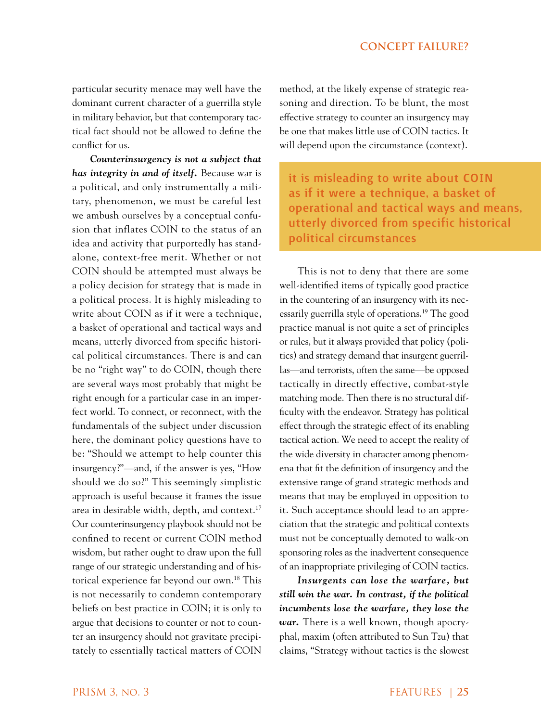particular security menace may well have the dominant current character of a guerrilla style in military behavior, but that contemporary tactical fact should not be allowed to define the conflict for us.

*Counterinsurgency is not a subject that has integrity in and of itself.* Because war is a political, and only instrumentally a military, phenomenon, we must be careful lest we ambush ourselves by a conceptual confusion that inflates COIN to the status of an idea and activity that purportedly has standalone, context-free merit. Whether or not COIN should be attempted must always be a policy decision for strategy that is made in a political process. It is highly misleading to write about COIN as if it were a technique, a basket of operational and tactical ways and means, utterly divorced from specific historical political circumstances. There is and can be no "right way" to do COIN, though there are several ways most probably that might be right enough for a particular case in an imperfect world. To connect, or reconnect, with the fundamentals of the subject under discussion here, the dominant policy questions have to be: "Should we attempt to help counter this insurgency?"—and, if the answer is yes, "How should we do so?" This seemingly simplistic approach is useful because it frames the issue area in desirable width, depth, and context.<sup>17</sup> Our counterinsurgency playbook should not be confined to recent or current COIN method wisdom, but rather ought to draw upon the full range of our strategic understanding and of historical experience far beyond our own.<sup>18</sup> This is not necessarily to condemn contemporary beliefs on best practice in COIN; it is only to argue that decisions to counter or not to counter an insurgency should not gravitate precipitately to essentially tactical matters of COIN

method, at the likely expense of strategic reasoning and direction. To be blunt, the most effective strategy to counter an insurgency may be one that makes little use of COIN tactics. It will depend upon the circumstance (context).

it is misleading to write about COIN as if it were a technique, a basket of operational and tactical ways and means, utterly divorced from specific historical political circumstances

This is not to deny that there are some well-identified items of typically good practice in the countering of an insurgency with its necessarily guerrilla style of operations.19 The good practice manual is not quite a set of principles or rules, but it always provided that policy (politics) and strategy demand that insurgent guerrillas—and terrorists, often the same—be opposed tactically in directly effective, combat-style matching mode. Then there is no structural difficulty with the endeavor. Strategy has political effect through the strategic effect of its enabling tactical action. We need to accept the reality of the wide diversity in character among phenomena that fit the definition of insurgency and the extensive range of grand strategic methods and means that may be employed in opposition to it. Such acceptance should lead to an appreciation that the strategic and political contexts must not be conceptually demoted to walk-on sponsoring roles as the inadvertent consequence of an inappropriate privileging of COIN tactics.

*Insurgents can lose the warfare, but still win the war. In contrast, if the political incumbents lose the warfare, they lose the war.* There is a well known, though apocryphal, maxim (often attributed to Sun Tzu) that claims, "Strategy without tactics is the slowest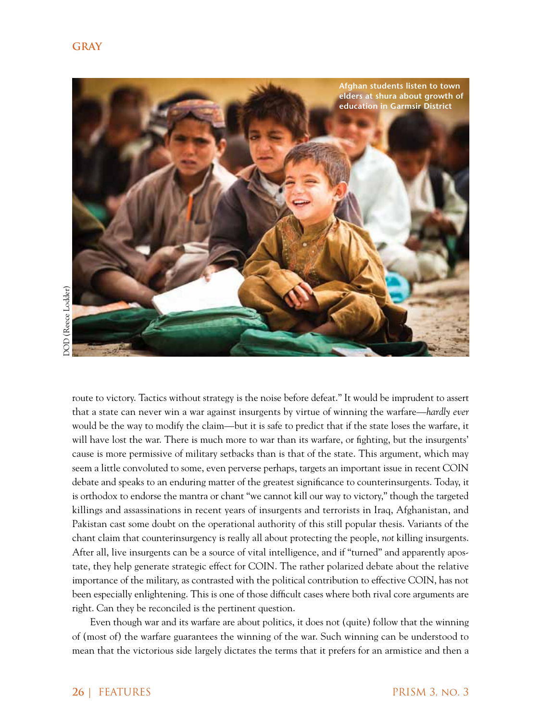

route to victory. Tactics without strategy is the noise before defeat." It would be imprudent to assert that a state can never win a war against insurgents by virtue of winning the warfare—*hardly ever* would be the way to modify the claim—but it is safe to predict that if the state loses the warfare, it will have lost the war. There is much more to war than its warfare, or fighting, but the insurgents' cause is more permissive of military setbacks than is that of the state. This argument, which may seem a little convoluted to some, even perverse perhaps, targets an important issue in recent COIN debate and speaks to an enduring matter of the greatest significance to counterinsurgents. Today, it is orthodox to endorse the mantra or chant "we cannot kill our way to victory," though the targeted killings and assassinations in recent years of insurgents and terrorists in Iraq, Afghanistan, and Pakistan cast some doubt on the operational authority of this still popular thesis. Variants of the chant claim that counterinsurgency is really all about protecting the people, *not* killing insurgents. After all, live insurgents can be a source of vital intelligence, and if "turned" and apparently apostate, they help generate strategic effect for COIN. The rather polarized debate about the relative importance of the military, as contrasted with the political contribution to effective COIN, has not been especially enlightening. This is one of those difficult cases where both rival core arguments are right. Can they be reconciled is the pertinent question.

Even though war and its warfare are about politics, it does not (quite) follow that the winning of (most of) the warfare guarantees the winning of the war. Such winning can be understood to mean that the victorious side largely dictates the terms that it prefers for an armistice and then a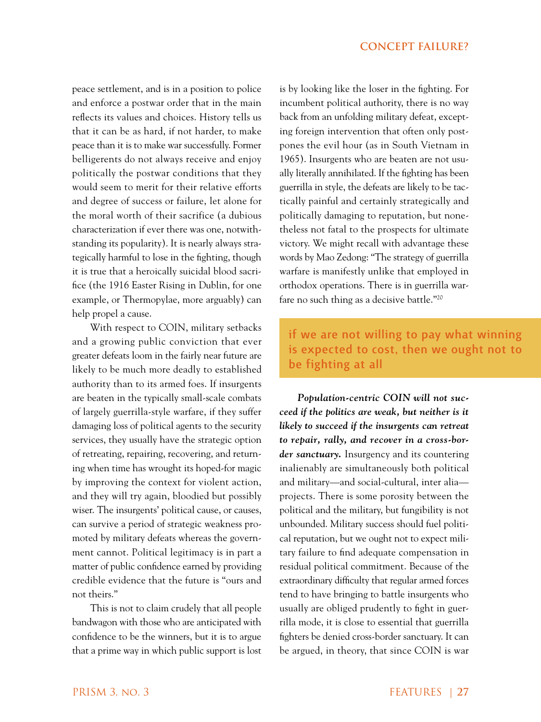peace settlement, and is in a position to police and enforce a postwar order that in the main reflects its values and choices. History tells us that it can be as hard, if not harder, to make peace than it is to make war successfully. Former belligerents do not always receive and enjoy politically the postwar conditions that they would seem to merit for their relative efforts and degree of success or failure, let alone for the moral worth of their sacrifice (a dubious characterization if ever there was one, notwithstanding its popularity). It is nearly always strategically harmful to lose in the fighting, though it is true that a heroically suicidal blood sacrifice (the 1916 Easter Rising in Dublin, for one example, or Thermopylae, more arguably) can help propel a cause.

With respect to COIN, military setbacks and a growing public conviction that ever greater defeats loom in the fairly near future are likely to be much more deadly to established authority than to its armed foes. If insurgents are beaten in the typically small-scale combats of largely guerrilla-style warfare, if they suffer damaging loss of political agents to the security services, they usually have the strategic option of retreating, repairing, recovering, and returning when time has wrought its hoped-for magic by improving the context for violent action, and they will try again, bloodied but possibly wiser. The insurgents' political cause, or causes, can survive a period of strategic weakness promoted by military defeats whereas the government cannot. Political legitimacy is in part a matter of public confidence earned by providing credible evidence that the future is "ours and not theirs."

This is not to claim crudely that all people bandwagon with those who are anticipated with confidence to be the winners, but it is to argue that a prime way in which public support is lost is by looking like the loser in the fighting. For incumbent political authority, there is no way back from an unfolding military defeat, excepting foreign intervention that often only postpones the evil hour (as in South Vietnam in 1965). Insurgents who are beaten are not usually literally annihilated. If the fighting has been guerrilla in style, the defeats are likely to be tactically painful and certainly strategically and politically damaging to reputation, but nonetheless not fatal to the prospects for ultimate victory. We might recall with advantage these words by Mao Zedong: "The strategy of guerrilla warfare is manifestly unlike that employed in orthodox operations. There is in guerrilla warfare no such thing as a decisive battle."20

if we are not willing to pay what winning is expected to cost, then we ought not to be fighting at all

*Population-centric COIN will not succeed if the politics are weak, but neither is it likely to succeed if the insurgents can retreat to repair, rally, and recover in a cross-border sanctuary.* Insurgency and its countering inalienably are simultaneously both political and military—and social-cultural, inter alia projects. There is some porosity between the political and the military, but fungibility is not unbounded. Military success should fuel political reputation, but we ought not to expect military failure to find adequate compensation in residual political commitment. Because of the extraordinary difficulty that regular armed forces tend to have bringing to battle insurgents who usually are obliged prudently to fight in guerrilla mode, it is close to essential that guerrilla fighters be denied cross-border sanctuary. It can be argued, in theory, that since COIN is war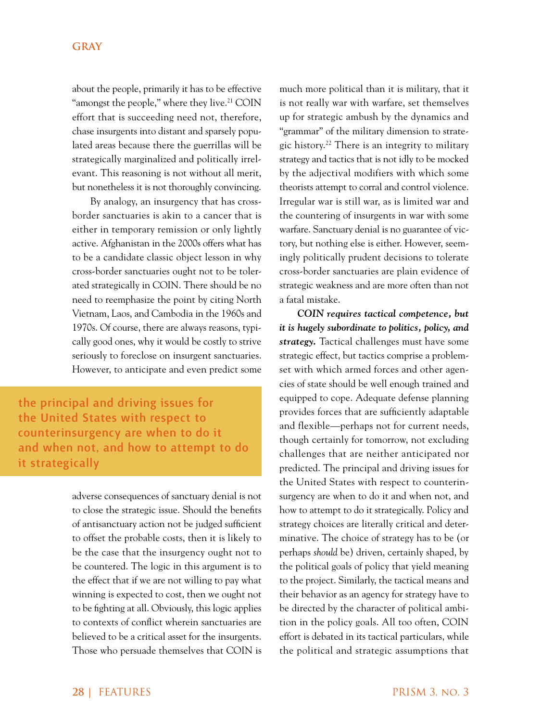about the people, primarily it has to be effective "amongst the people," where they live.<sup>21</sup> COIN effort that is succeeding need not, therefore, chase insurgents into distant and sparsely populated areas because there the guerrillas will be strategically marginalized and politically irrelevant. This reasoning is not without all merit, but nonetheless it is not thoroughly convincing.

By analogy, an insurgency that has crossborder sanctuaries is akin to a cancer that is either in temporary remission or only lightly active. Afghanistan in the 2000s offers what has to be a candidate classic object lesson in why cross-border sanctuaries ought not to be tolerated strategically in COIN. There should be no need to reemphasize the point by citing North Vietnam, Laos, and Cambodia in the 1960s and 1970s. Of course, there are always reasons, typically good ones, why it would be costly to strive seriously to foreclose on insurgent sanctuaries. However, to anticipate and even predict some

the principal and driving issues for the United States with respect to counterinsurgency are when to do it and when not, and how to attempt to do it strategically

> adverse consequences of sanctuary denial is not to close the strategic issue. Should the benefits of antisanctuary action not be judged sufficient to offset the probable costs, then it is likely to be the case that the insurgency ought not to be countered. The logic in this argument is to the effect that if we are not willing to pay what winning is expected to cost, then we ought not to be fighting at all. Obviously, this logic applies to contexts of conflict wherein sanctuaries are believed to be a critical asset for the insurgents. Those who persuade themselves that COIN is

much more political than it is military, that it is not really war with warfare, set themselves up for strategic ambush by the dynamics and "grammar" of the military dimension to strategic history.<sup>22</sup> There is an integrity to military strategy and tactics that is not idly to be mocked by the adjectival modifiers with which some theorists attempt to corral and control violence. Irregular war is still war, as is limited war and the countering of insurgents in war with some warfare. Sanctuary denial is no guarantee of victory, but nothing else is either. However, seemingly politically prudent decisions to tolerate cross-border sanctuaries are plain evidence of strategic weakness and are more often than not a fatal mistake.

*COIN requires tactical competence, but it is hugely subordinate to politics, policy, and strategy.* Tactical challenges must have some strategic effect, but tactics comprise a problemset with which armed forces and other agencies of state should be well enough trained and equipped to cope. Adequate defense planning provides forces that are sufficiently adaptable and flexible—perhaps not for current needs, though certainly for tomorrow, not excluding challenges that are neither anticipated nor predicted. The principal and driving issues for the United States with respect to counterinsurgency are when to do it and when not, and how to attempt to do it strategically. Policy and strategy choices are literally critical and determinative. The choice of strategy has to be (or perhaps *should* be) driven, certainly shaped, by the political goals of policy that yield meaning to the project. Similarly, the tactical means and their behavior as an agency for strategy have to be directed by the character of political ambition in the policy goals. All too often, COIN effort is debated in its tactical particulars, while the political and strategic assumptions that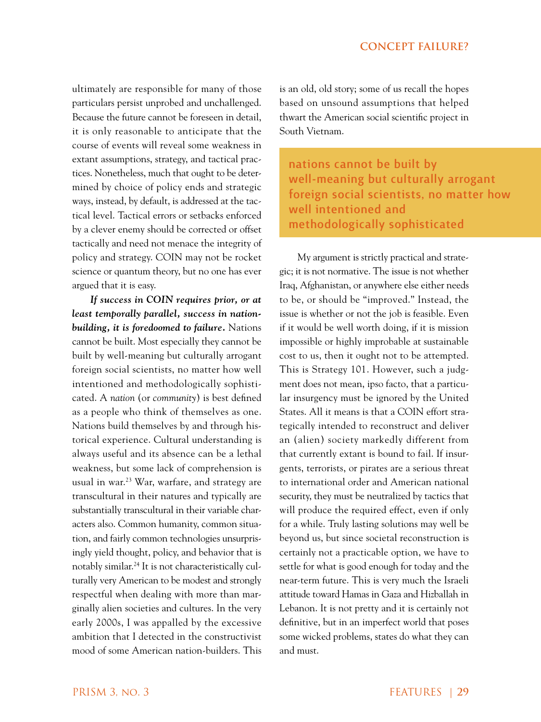ultimately are responsible for many of those particulars persist unprobed and unchallenged. Because the future cannot be foreseen in detail, it is only reasonable to anticipate that the course of events will reveal some weakness in extant assumptions, strategy, and tactical practices. Nonetheless, much that ought to be determined by choice of policy ends and strategic ways, instead, by default, is addressed at the tactical level. Tactical errors or setbacks enforced by a clever enemy should be corrected or offset tactically and need not menace the integrity of policy and strategy. COIN may not be rocket science or quantum theory, but no one has ever argued that it is easy.

*If success in COIN requires prior, or at least temporally parallel, success in nationbuilding, it is foredoomed to failure.* Nations cannot be built. Most especially they cannot be built by well-meaning but culturally arrogant foreign social scientists, no matter how well intentioned and methodologically sophisticated. A *nation* (or *community*) is best defined as a people who think of themselves as one. Nations build themselves by and through historical experience. Cultural understanding is always useful and its absence can be a lethal weakness, but some lack of comprehension is usual in war.<sup>23</sup> War, warfare, and strategy are transcultural in their natures and typically are substantially transcultural in their variable characters also. Common humanity, common situation, and fairly common technologies unsurprisingly yield thought, policy, and behavior that is notably similar.24 It is not characteristically culturally very American to be modest and strongly respectful when dealing with more than marginally alien societies and cultures. In the very early 2000s, I was appalled by the excessive ambition that I detected in the constructivist mood of some American nation-builders. This

is an old, old story; some of us recall the hopes based on unsound assumptions that helped thwart the American social scientific project in South Vietnam.

nations cannot be built by well-meaning but culturally arrogant foreign social scientists, no matter how well intentioned and methodologically sophisticated

My argument is strictly practical and strategic; it is not normative. The issue is not whether Iraq, Afghanistan, or anywhere else either needs to be, or should be "improved." Instead, the issue is whether or not the job is feasible. Even if it would be well worth doing, if it is mission impossible or highly improbable at sustainable cost to us, then it ought not to be attempted. This is Strategy 101. However, such a judgment does not mean, ipso facto, that a particular insurgency must be ignored by the United States. All it means is that a COIN effort strategically intended to reconstruct and deliver an (alien) society markedly different from that currently extant is bound to fail. If insurgents, terrorists, or pirates are a serious threat to international order and American national security, they must be neutralized by tactics that will produce the required effect, even if only for a while. Truly lasting solutions may well be beyond us, but since societal reconstruction is certainly not a practicable option, we have to settle for what is good enough for today and the near-term future. This is very much the Israeli attitude toward Hamas in Gaza and Hizballah in Lebanon. It is not pretty and it is certainly not definitive, but in an imperfect world that poses some wicked problems, states do what they can and must.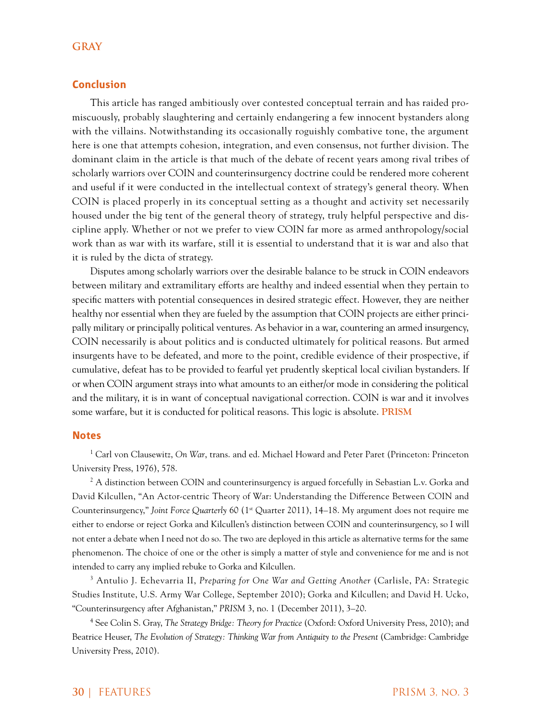# **Conclusion**

This article has ranged ambitiously over contested conceptual terrain and has raided promiscuously, probably slaughtering and certainly endangering a few innocent bystanders along with the villains. Notwithstanding its occasionally roguishly combative tone, the argument here is one that attempts cohesion, integration, and even consensus, not further division. The dominant claim in the article is that much of the debate of recent years among rival tribes of scholarly warriors over COIN and counterinsurgency doctrine could be rendered more coherent and useful if it were conducted in the intellectual context of strategy's general theory. When COIN is placed properly in its conceptual setting as a thought and activity set necessarily housed under the big tent of the general theory of strategy, truly helpful perspective and discipline apply. Whether or not we prefer to view COIN far more as armed anthropology/social work than as war with its warfare, still it is essential to understand that it is war and also that it is ruled by the dicta of strategy.

Disputes among scholarly warriors over the desirable balance to be struck in COIN endeavors between military and extramilitary efforts are healthy and indeed essential when they pertain to specific matters with potential consequences in desired strategic effect. However, they are neither healthy nor essential when they are fueled by the assumption that COIN projects are either principally military or principally political ventures. As behavior in a war, countering an armed insurgency, COIN necessarily is about politics and is conducted ultimately for political reasons. But armed insurgents have to be defeated, and more to the point, credible evidence of their prospective, if cumulative, defeat has to be provided to fearful yet prudently skeptical local civilian bystanders. If or when COIN argument strays into what amounts to an either/or mode in considering the political and the military, it is in want of conceptual navigational correction. COIN is war and it involves some warfare, but it is conducted for political reasons. This logic is absolute. **PRISM**

#### **Notes**

1 Carl von Clausewitz, *On War*, trans. and ed. Michael Howard and Peter Paret (Princeton: Princeton University Press, 1976), 578.

 $^2$  A distinction between COIN and counterinsurgency is argued forcefully in Sebastian L.v. Gorka and David Kilcullen, "An Actor-centric Theory of War: Understanding the Difference Between COIN and Counterinsurgency," *Joint Force Quarterly* 60 (1<sup>st</sup> Quarter 2011), 14–18. My argument does not require me either to endorse or reject Gorka and Kilcullen's distinction between COIN and counterinsurgency, so I will not enter a debate when I need not do so. The two are deployed in this article as alternative terms for the same phenomenon. The choice of one or the other is simply a matter of style and convenience for me and is not intended to carry any implied rebuke to Gorka and Kilcullen.

3 Antulio J. Echevarria II, *Preparing for One War and Getting Another* (Carlisle, PA: Strategic Studies Institute, U.S. Army War College, September 2010); Gorka and Kilcullen; and David H. Ucko, "Counterinsurgency after Afghanistan," *PRISM* 3, no. 1 (December 2011), 3–20.

4 See Colin S. Gray, *The Strategy Bridge: Theory for Practice* (Oxford: Oxford University Press, 2010); and Beatrice Heuser, *The Evolution of Strategy: Thinking War from Antiquity to the Present (Cambridge: Cambridge* University Press, 2010).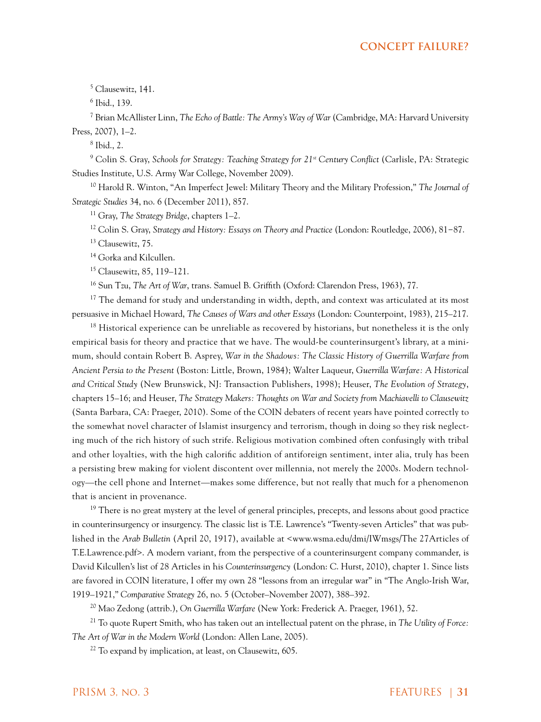5 Clausewitz, 141.

6 Ibid., 139.

7 Brian McAllister Linn, *The Echo of Battle: The Army's Way of War* (Cambridge, MA: Harvard University Press, 2007), 1–2.

8 Ibid., 2.

<sup>9</sup> Colin S. Gray, *Schools for Strategy: Teaching Strategy for 21<sup>st</sup> Century Conflict (Carlisle, PA: Strategic* Studies Institute, U.S. Army War College, November 2009).

10 Harold R. Winton, "An Imperfect Jewel: Military Theory and the Military Profession," *The Journal of Strategic Studies* 34, no. 6 (December 2011), 857.

11 Gray, *The Strategy Bridge*, chapters 1–2.

12 Colin S. Gray, *Strategy and History: Essays on Theory and Practice* (London: Routledge, 2006), 81−87.

<sup>13</sup> Clausewitz, 75.

<sup>14</sup> Gorka and Kilcullen.

15 Clausewitz, 85, 119–121.

16 Sun Tzu, *The Art of War*, trans. Samuel B. Griffith (Oxford: Clarendon Press, 1963), 77.

<sup>17</sup> The demand for study and understanding in width, depth, and context was articulated at its most persuasive in Michael Howard, *The Causes of Wars and other Essays* (London: Counterpoint, 1983), 215–217.

 $18$  Historical experience can be unreliable as recovered by historians, but nonetheless it is the only empirical basis for theory and practice that we have. The would-be counterinsurgent's library, at a minimum, should contain Robert B. Asprey, *War in the Shadows: The Classic History of Guerrilla Warfare from Ancient Persia to the Present* (Boston: Little, Brown, 1984); Walter Laqueur, *Guerrilla Warfare: A Historical and Critical Study* (New Brunswick, NJ: Transaction Publishers, 1998); Heuser, *The Evolution of Strategy*, chapters 15–16; and Heuser, *The Strategy Makers: Thoughts on War and Society from Machiavelli to Clausewitz* (Santa Barbara, CA: Praeger, 2010). Some of the COIN debaters of recent years have pointed correctly to the somewhat novel character of Islamist insurgency and terrorism, though in doing so they risk neglecting much of the rich history of such strife. Religious motivation combined often confusingly with tribal and other loyalties, with the high calorific addition of antiforeign sentiment, inter alia, truly has been a persisting brew making for violent discontent over millennia, not merely the 2000s. Modern technology—the cell phone and Internet—makes some difference, but not really that much for a phenomenon that is ancient in provenance.

<sup>19</sup> There is no great mystery at the level of general principles, precepts, and lessons about good practice in counterinsurgency or insurgency. The classic list is T.E. Lawrence's "Twenty-seven Articles" that was published in the *Arab Bulletin* (April 20, 1917), available at <www.wsma.edu/dmi/IWmsgs/The 27Articles of T.E.Lawrence.pdf>. A modern variant, from the perspective of a counterinsurgent company commander, is David Kilcullen's list of 28 Articles in his *Counterinsurgency* (London: C. Hurst, 2010), chapter 1. Since lists are favored in COIN literature, I offer my own 28 "lessons from an irregular war" in "The Anglo-Irish War, 1919–1921," *Comparative Strategy* 26, no. 5 (October–November 2007), 388–392.

20 Mao Zedong (attrib.), *On Guerrilla Warfare* (New York: Frederick A. Praeger, 1961), 52.

21 To quote Rupert Smith, who has taken out an intellectual patent on the phrase, in *The Utility of Force: The Art of War in the Modern World* (London: Allen Lane, 2005).

 $22$  To expand by implication, at least, on Clausewitz, 605.